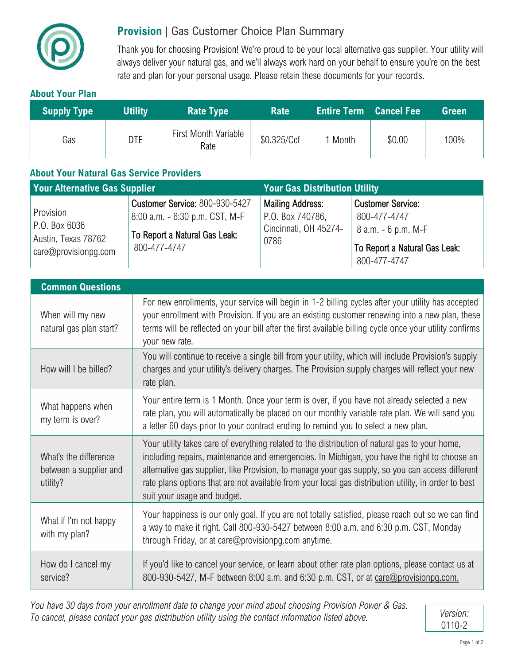

## **Provision** | Gas Customer Choice Plan Summary

Thank you for choosing Provision! We're proud to be your local alternative gas supplier. Your utility will always deliver your natural gas, and we'll always work hard on your behalf to ensure you're on the best rate and plan for your personal usage. Please retain these documents for your records.

#### **About Your Plan**

| <b>Supply Type</b> | <b>Utility</b> | Rate Type                           | <b>Rate</b> | <b>Entire Term Cancel Fee</b> |        | Green |
|--------------------|----------------|-------------------------------------|-------------|-------------------------------|--------|-------|
| Gas                | <b>DTE</b>     | <b>First Month Variable</b><br>Rate | \$0.325/Ccf | 1 Month                       | \$0.00 | 100%  |

#### **About Your Natural Gas Service Providers**

| <b>Your Alternative Gas Supplier</b>                                      |                                                                                                                          | <b>Your Gas Distribution Utility</b>                                         |                                                                                                                     |  |
|---------------------------------------------------------------------------|--------------------------------------------------------------------------------------------------------------------------|------------------------------------------------------------------------------|---------------------------------------------------------------------------------------------------------------------|--|
| Provision<br>P.O. Box 6036<br>Austin, Texas 78762<br>care@provisionpg.com | <b>Customer Service: 800-930-5427</b><br>8:00 a.m. - 6:30 p.m. CST, M-F<br>To Report a Natural Gas Leak:<br>800-477-4747 | <b>Mailing Address:</b><br>P.O. Box 740786,<br>Cincinnati, OH 45274-<br>0786 | <b>Customer Service:</b><br>800-477-4747<br>$8$ a.m. $-6$ p.m. M-F<br>To Report a Natural Gas Leak:<br>800-477-4747 |  |

| <b>Common Questions</b>                                     |                                                                                                                                                                                                                                                                                                                                                                                                                                           |  |  |  |
|-------------------------------------------------------------|-------------------------------------------------------------------------------------------------------------------------------------------------------------------------------------------------------------------------------------------------------------------------------------------------------------------------------------------------------------------------------------------------------------------------------------------|--|--|--|
| When will my new<br>natural gas plan start?                 | For new enrollments, your service will begin in 1-2 billing cycles after your utility has accepted<br>your enrollment with Provision. If you are an existing customer renewing into a new plan, these<br>terms will be reflected on your bill after the first available billing cycle once your utility confirms<br>your new rate.                                                                                                        |  |  |  |
| How will I be billed?                                       | You will continue to receive a single bill from your utility, which will include Provision's supply<br>charges and your utility's delivery charges. The Provision supply charges will reflect your new<br>rate plan.                                                                                                                                                                                                                      |  |  |  |
| What happens when<br>my term is over?                       | Your entire term is 1 Month. Once your term is over, if you have not already selected a new<br>rate plan, you will automatically be placed on our monthly variable rate plan. We will send you<br>a letter 60 days prior to your contract ending to remind you to select a new plan.                                                                                                                                                      |  |  |  |
| What's the difference<br>between a supplier and<br>utility? | Your utility takes care of everything related to the distribution of natural gas to your home,<br>including repairs, maintenance and emergencies. In Michigan, you have the right to choose an<br>alternative gas supplier, like Provision, to manage your gas supply, so you can access different<br>rate plans options that are not available from your local gas distribution utility, in order to best<br>suit your usage and budget. |  |  |  |
| What if I'm not happy<br>with my plan?                      | Your happiness is our only goal. If you are not totally satisfied, please reach out so we can find<br>a way to make it right. Call 800-930-5427 between 8:00 a.m. and 6:30 p.m. CST, Monday<br>through Friday, or at care@provisionpg.com anytime.                                                                                                                                                                                        |  |  |  |
| How do I cancel my<br>service?                              | If you'd like to cancel your service, or learn about other rate plan options, please contact us at<br>800-930-5427, M-F between 8:00 a.m. and 6:30 p.m. CST, or at care@provisionpg.com.                                                                                                                                                                                                                                                  |  |  |  |

*You have 30 days from your enrollment date to change your mind about choosing Provision Power & Gas. To cancel, please contact your gas distribution utility using the contact information listed above. Version:*

0110-2